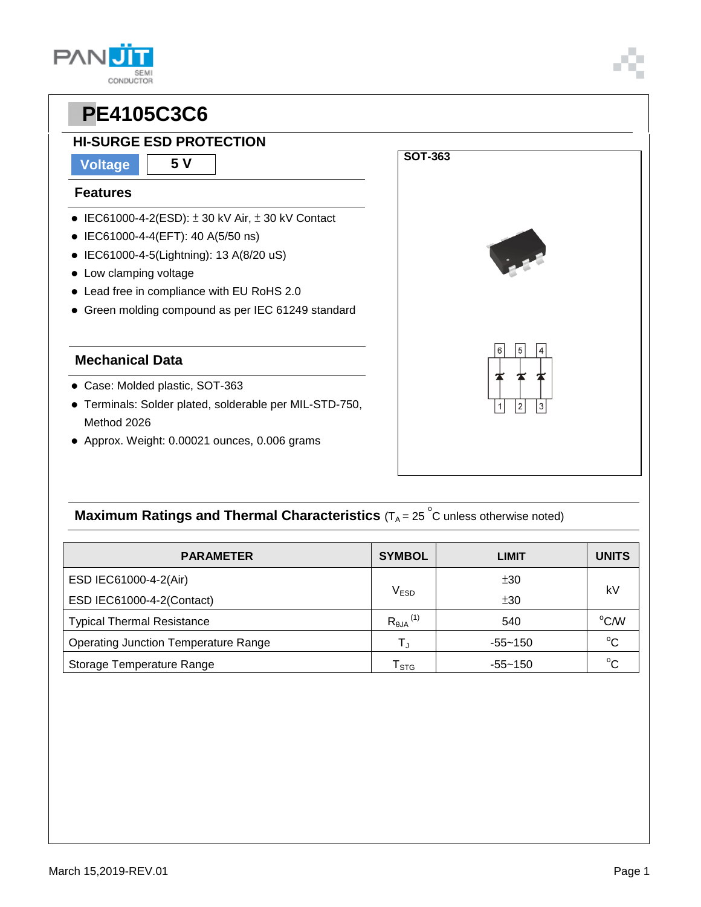**CONDUCTOR** 

### **HI-SURGE ESD PROTECTION**

### **Voltage 5 V**

**PAN** 

#### **Features**

- $\bullet$  IEC61000-4-2(ESD):  $\pm$  30 kV Air,  $\pm$  30 kV Contact
- IEC61000-4-4(EFT): 40 A(5/50 ns)
- IEC61000-4-5(Lightning): 13 A(8/20 uS)
- Low clamping voltage
- Lead free in compliance with EU RoHS 2.0
- Green molding compound as per IEC 61249 standard

#### **Mechanical Data**

- Case: Molded plastic, SOT-363
- Terminals: Solder plated, solderable per MIL-STD-750, Method 2026
- Approx. Weight: 0.00021 ounces, 0.006 grams



## **Maximum Ratings and Thermal Characteristics** ( $T_A = 25$   $\degree$ C unless otherwise noted)

| <b>PARAMETER</b>                            | <b>SYMBOL</b>                 | LIMIT       | <b>UNITS</b> |  |
|---------------------------------------------|-------------------------------|-------------|--------------|--|
| ESD IEC61000-4-2(Air)                       |                               | ±30         | k٧           |  |
| ESD IEC61000-4-2(Contact)                   | $\mathsf{V}_{\mathsf{ESD}}$   | ±30         |              |  |
| <b>Typical Thermal Resistance</b>           | $R_{\theta$ JA <sup>(1)</sup> | 540         | °C/W         |  |
| <b>Operating Junction Temperature Range</b> | T,                            | $-55 - 150$ | $^{\circ}C$  |  |
| Storage Temperature Range                   | $\mathsf{T}_{\texttt{STG}}$   | $-55 - 150$ | $^{\circ}C$  |  |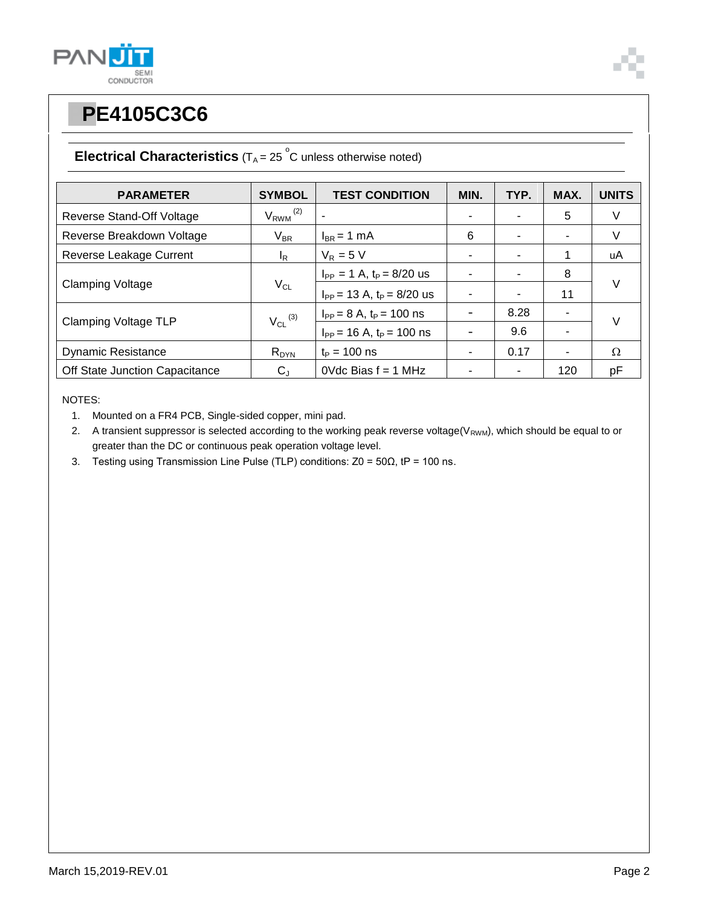



## **Electrical Characteristics**  $(T_A = 25 \degree C$  unless otherwise noted)

| <b>PARAMETER</b>               | <b>SYMBOL</b>            | <b>TEST CONDITION</b>            | MIN. | TYP. | MAX. | <b>UNITS</b> |  |
|--------------------------------|--------------------------|----------------------------------|------|------|------|--------------|--|
| Reverse Stand-Off Voltage      | $V_{RWM}$ <sup>(2)</sup> |                                  |      |      | 5    | V            |  |
| Reverse Breakdown Voltage      | $V_{BR}$                 | $I_{BR}$ = 1 mA                  | 6    |      | ٠.   | V            |  |
| Reverse Leakage Current        | $I_R$                    | $V_R = 5 V$                      |      |      | 1    | uA           |  |
| <b>Clamping Voltage</b>        | $V_{CL}$                 | $I_{PP} = 1 A$ , $t_P = 8/20$ us |      |      | 8    |              |  |
|                                |                          | $I_{PP}$ = 13 A, $t_P$ = 8/20 us |      |      | 11   | $\vee$       |  |
| <b>Clamping Voltage TLP</b>    | $V_{CL}$ <sup>(3)</sup>  | $I_{PP} = 8 A$ , $t_P = 100$ ns  |      | 8.28 |      | $\vee$       |  |
|                                |                          | $I_{PP}$ = 16 A, $t_P$ = 100 ns  |      | 9.6  |      |              |  |
| <b>Dynamic Resistance</b>      | $R_{DYN}$                | $t_P = 100$ ns                   |      | 0.17 | ۰    | $\Omega$     |  |
| Off State Junction Capacitance | $C_{\text{J}}$           | OVdc Bias $f = 1$ MHz            |      |      | 120  | pF           |  |

NOTES:

1. Mounted on a FR4 PCB, Single-sided copper, mini pad.

2. A transient suppressor is selected according to the working peak reverse voltage( $V_{RWM}$ ), which should be equal to or greater than the DC or continuous peak operation voltage level.

3. Testing using Transmission Line Pulse (TLP) conditions: Z0 = 50Ω, tP = 100 ns.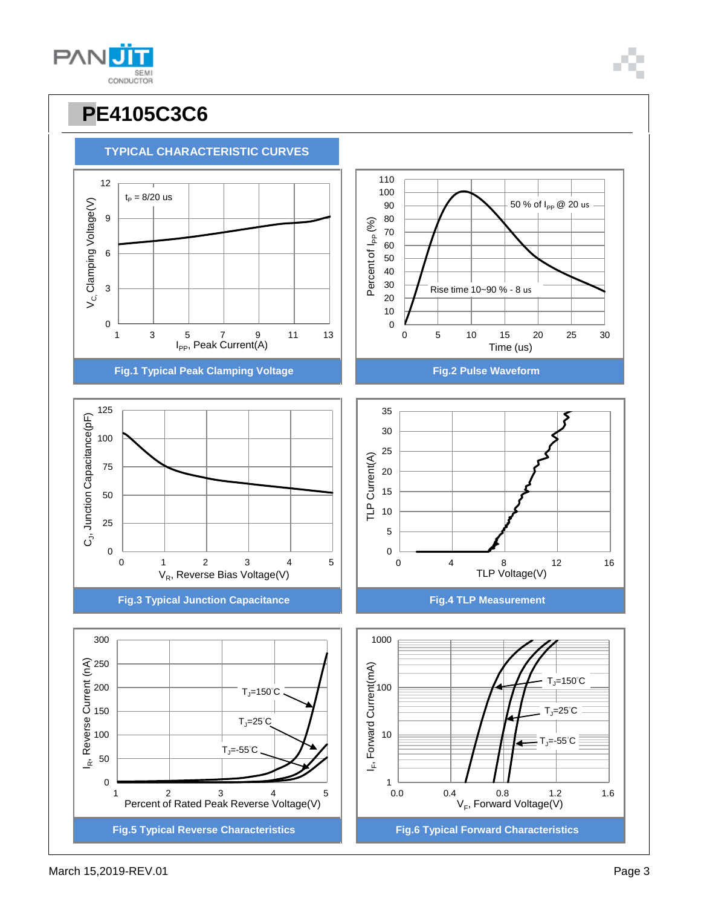





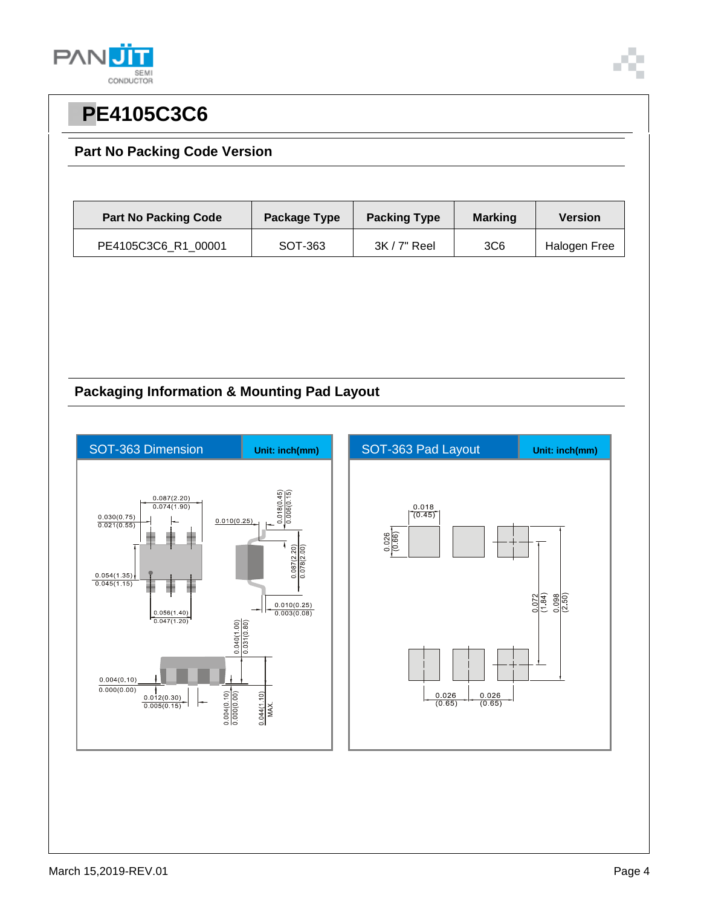

### **Part No Packing Code Version**

| <b>Part No Packing Code</b> | Package Type | <b>Packing Type</b><br><b>Marking</b> |                 | <b>Version</b> |  |
|-----------------------------|--------------|---------------------------------------|-----------------|----------------|--|
| PE4105C3C6 R1 00001         | SOT-363      | $3K/7"$ Reel                          | 3C <sub>6</sub> | Halogen Free   |  |

## **Packaging Information & Mounting Pad Layout**